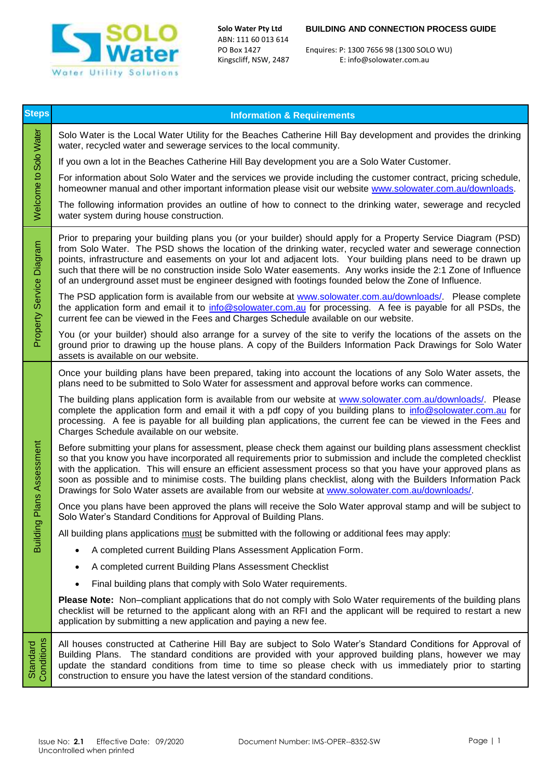

ABN: 111 60 013 614

## **Solo Water Pty Ltd BUILDING AND CONNECTION PROCESS GUIDE**

PO Box 1427 Enquires: P: 1300 7656 98 (1300 SOLO WU) E: info@solowater.com.au

| <b>Steps</b>             | <b>Information &amp; Requirements</b>                                                                                                                                                                                                                                                                                                                                                                                                                                                                                                                                      |
|--------------------------|----------------------------------------------------------------------------------------------------------------------------------------------------------------------------------------------------------------------------------------------------------------------------------------------------------------------------------------------------------------------------------------------------------------------------------------------------------------------------------------------------------------------------------------------------------------------------|
| Welcome to Solo Water    | Solo Water is the Local Water Utility for the Beaches Catherine Hill Bay development and provides the drinking<br>water, recycled water and sewerage services to the local community.                                                                                                                                                                                                                                                                                                                                                                                      |
|                          | If you own a lot in the Beaches Catherine Hill Bay development you are a Solo Water Customer.                                                                                                                                                                                                                                                                                                                                                                                                                                                                              |
|                          | For information about Solo Water and the services we provide including the customer contract, pricing schedule,<br>homeowner manual and other important information please visit our website www.solowater.com.au/downloads.                                                                                                                                                                                                                                                                                                                                               |
|                          | The following information provides an outline of how to connect to the drinking water, sewerage and recycled<br>water system during house construction.                                                                                                                                                                                                                                                                                                                                                                                                                    |
| Property Service Diagram | Prior to preparing your building plans you (or your builder) should apply for a Property Service Diagram (PSD)<br>from Solo Water. The PSD shows the location of the drinking water, recycled water and sewerage connection<br>points, infrastructure and easements on your lot and adjacent lots. Your building plans need to be drawn up<br>such that there will be no construction inside Solo Water easements. Any works inside the 2:1 Zone of Influence<br>of an underground asset must be engineer designed with footings founded below the Zone of Influence.      |
|                          | The PSD application form is available from our website at www.solowater.com.au/downloads/. Please complete<br>the application form and email it to info@solowater.com.au for processing. A fee is payable for all PSDs, the<br>current fee can be viewed in the Fees and Charges Schedule available on our website.                                                                                                                                                                                                                                                        |
|                          | You (or your builder) should also arrange for a survey of the site to verify the locations of the assets on the<br>ground prior to drawing up the house plans. A copy of the Builders Information Pack Drawings for Solo Water<br>assets is available on our website.                                                                                                                                                                                                                                                                                                      |
| Plans Assessment         | Once your building plans have been prepared, taking into account the locations of any Solo Water assets, the<br>plans need to be submitted to Solo Water for assessment and approval before works can commence.                                                                                                                                                                                                                                                                                                                                                            |
|                          | The building plans application form is available from our website at www.solowater.com.au/downloads/. Please<br>complete the application form and email it with a pdf copy of you building plans to info@solowater.com.au for<br>processing. A fee is payable for all building plan applications, the current fee can be viewed in the Fees and<br>Charges Schedule available on our website.                                                                                                                                                                              |
|                          | Before submitting your plans for assessment, please check them against our building plans assessment checklist<br>so that you know you have incorporated all requirements prior to submission and include the completed checklist<br>with the application. This will ensure an efficient assessment process so that you have your approved plans as<br>soon as possible and to minimise costs. The building plans checklist, along with the Builders Information Pack<br>Drawings for Solo Water assets are available from our website at www.solowater.com.au/downloads/. |
|                          | Once you plans have been approved the plans will receive the Solo Water approval stamp and will be subject to<br>Solo Water's Standard Conditions for Approval of Building Plans.                                                                                                                                                                                                                                                                                                                                                                                          |
| <b>Building</b>          | All building plans applications must be submitted with the following or additional fees may apply:                                                                                                                                                                                                                                                                                                                                                                                                                                                                         |
|                          | A completed current Building Plans Assessment Application Form.                                                                                                                                                                                                                                                                                                                                                                                                                                                                                                            |
|                          | A completed current Building Plans Assessment Checklist                                                                                                                                                                                                                                                                                                                                                                                                                                                                                                                    |
|                          | Final building plans that comply with Solo Water requirements.                                                                                                                                                                                                                                                                                                                                                                                                                                                                                                             |
|                          | Please Note: Non-compliant applications that do not comply with Solo Water requirements of the building plans<br>checklist will be returned to the applicant along with an RFI and the applicant will be required to restart a new<br>application by submitting a new application and paying a new fee.                                                                                                                                                                                                                                                                    |
| Conditions<br>Standard   | All houses constructed at Catherine Hill Bay are subject to Solo Water's Standard Conditions for Approval of<br>Building Plans. The standard conditions are provided with your approved building plans, however we may<br>update the standard conditions from time to time so please check with us immediately prior to starting<br>construction to ensure you have the latest version of the standard conditions.                                                                                                                                                         |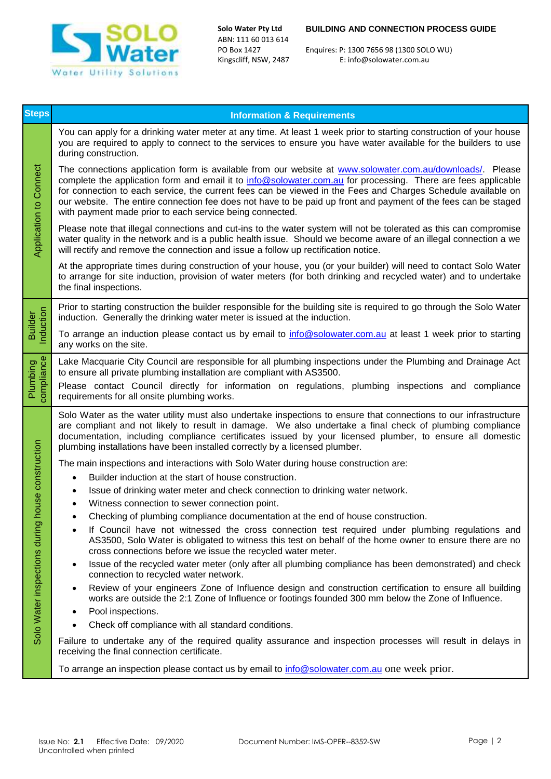

ABN: 111 60 013 614

## **Solo Water Pty Ltd BUILDING AND CONNECTION PROCESS GUIDE**

PO Box 1427 Enquires: P: 1300 7656 98 (1300 SOLO WU) E: info@solowater.com.au

| <b>Steps</b>                  | <b>Information &amp; Requirements</b>                                                                                                                                                                                                                                                                                                                                                                                                                                                                                    |
|-------------------------------|--------------------------------------------------------------------------------------------------------------------------------------------------------------------------------------------------------------------------------------------------------------------------------------------------------------------------------------------------------------------------------------------------------------------------------------------------------------------------------------------------------------------------|
| <b>Application to Connect</b> | You can apply for a drinking water meter at any time. At least 1 week prior to starting construction of your house<br>you are required to apply to connect to the services to ensure you have water available for the builders to use<br>during construction.                                                                                                                                                                                                                                                            |
|                               | The connections application form is available from our website at www.solowater.com.au/downloads/. Please<br>complete the application form and email it to info@solowater.com.au for processing. There are fees applicable<br>for connection to each service, the current fees can be viewed in the Fees and Charges Schedule available on<br>our website. The entire connection fee does not have to be paid up front and payment of the fees can be staged<br>with payment made prior to each service being connected. |
|                               | Please note that illegal connections and cut-ins to the water system will not be tolerated as this can compromise<br>water quality in the network and is a public health issue. Should we become aware of an illegal connection a we<br>will rectify and remove the connection and issue a follow up rectification notice.                                                                                                                                                                                               |
|                               | At the appropriate times during construction of your house, you (or your builder) will need to contact Solo Water<br>to arrange for site induction, provision of water meters (for both drinking and recycled water) and to undertake<br>the final inspections.                                                                                                                                                                                                                                                          |
| Induction<br><b>Builder</b>   | Prior to starting construction the builder responsible for the building site is required to go through the Solo Water<br>induction. Generally the drinking water meter is issued at the induction.                                                                                                                                                                                                                                                                                                                       |
|                               | To arrange an induction please contact us by email to info@solowater.com.au at least 1 week prior to starting<br>any works on the site.                                                                                                                                                                                                                                                                                                                                                                                  |
| Plumbing<br>compliance        | Lake Macquarie City Council are responsible for all plumbing inspections under the Plumbing and Drainage Act<br>to ensure all private plumbing installation are compliant with AS3500.                                                                                                                                                                                                                                                                                                                                   |
|                               | Please contact Council directly for information on regulations, plumbing inspections and compliance<br>requirements for all onsite plumbing works.                                                                                                                                                                                                                                                                                                                                                                       |
|                               | Solo Water as the water utility must also undertake inspections to ensure that connections to our infrastructure<br>are compliant and not likely to result in damage. We also undertake a final check of plumbing compliance<br>documentation, including compliance certificates issued by your licensed plumber, to ensure all domestic<br>plumbing installations have been installed correctly by a licensed plumber.                                                                                                  |
|                               | The main inspections and interactions with Solo Water during house construction are:                                                                                                                                                                                                                                                                                                                                                                                                                                     |
| louse construction            | Builder induction at the start of house construction.<br>$\bullet$<br>Issue of drinking water meter and check connection to drinking water network.<br>$\bullet$                                                                                                                                                                                                                                                                                                                                                         |
|                               | Witness connection to sewer connection point.<br>٠                                                                                                                                                                                                                                                                                                                                                                                                                                                                       |
|                               | Checking of plumbing compliance documentation at the end of house construction.                                                                                                                                                                                                                                                                                                                                                                                                                                          |
| Solo Water inspections during | If Council have not witnessed the cross connection test required under plumbing regulations and<br>AS3500, Solo Water is obligated to witness this test on behalf of the home owner to ensure there are no<br>cross connections before we issue the recycled water meter.                                                                                                                                                                                                                                                |
|                               | Issue of the recycled water meter (only after all plumbing compliance has been demonstrated) and check<br>$\bullet$<br>connection to recycled water network.                                                                                                                                                                                                                                                                                                                                                             |
|                               | Review of your engineers Zone of Influence design and construction certification to ensure all building<br>٠<br>works are outside the 2:1 Zone of Influence or footings founded 300 mm below the Zone of Influence.                                                                                                                                                                                                                                                                                                      |
|                               | Pool inspections.<br>٠<br>Check off compliance with all standard conditions.                                                                                                                                                                                                                                                                                                                                                                                                                                             |
|                               | Failure to undertake any of the required quality assurance and inspection processes will result in delays in<br>receiving the final connection certificate.                                                                                                                                                                                                                                                                                                                                                              |
|                               | To arrange an inspection please contact us by email to <i>info@solowater.com.au</i> one week prior.                                                                                                                                                                                                                                                                                                                                                                                                                      |
|                               |                                                                                                                                                                                                                                                                                                                                                                                                                                                                                                                          |